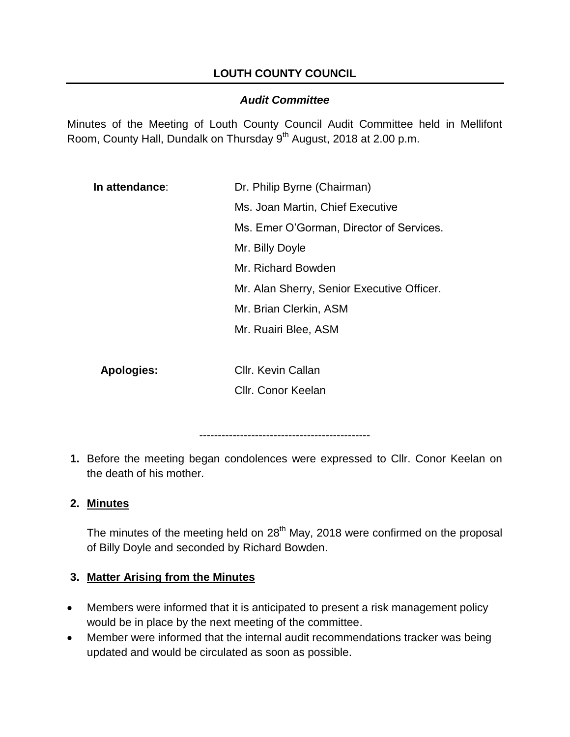# **LOUTH COUNTY COUNCIL**

## *Audit Committee*

Minutes of the Meeting of Louth County Council Audit Committee held in Mellifont Room, County Hall, Dundalk on Thursday 9<sup>th</sup> August, 2018 at 2.00 p.m.

| In attendance: | Dr. Philip Byrne (Chairman)                |
|----------------|--------------------------------------------|
|                | Ms. Joan Martin, Chief Executive           |
|                | Ms. Emer O'Gorman, Director of Services.   |
|                | Mr. Billy Doyle                            |
|                | Mr. Richard Bowden                         |
|                | Mr. Alan Sherry, Senior Executive Officer. |
|                | Mr. Brian Clerkin, ASM                     |
|                | Mr. Ruairi Blee, ASM                       |
|                |                                            |

**Apologies:** Cllr. Kevin Callan

Cllr. Conor Keelan

----------------------------------------------

**1.** Before the meeting began condolences were expressed to Cllr. Conor Keelan on the death of his mother.

# **2. Minutes**

The minutes of the meeting held on  $28<sup>th</sup>$  May, 2018 were confirmed on the proposal of Billy Doyle and seconded by Richard Bowden.

## **3. Matter Arising from the Minutes**

- Members were informed that it is anticipated to present a risk management policy would be in place by the next meeting of the committee.
- Member were informed that the internal audit recommendations tracker was being updated and would be circulated as soon as possible.